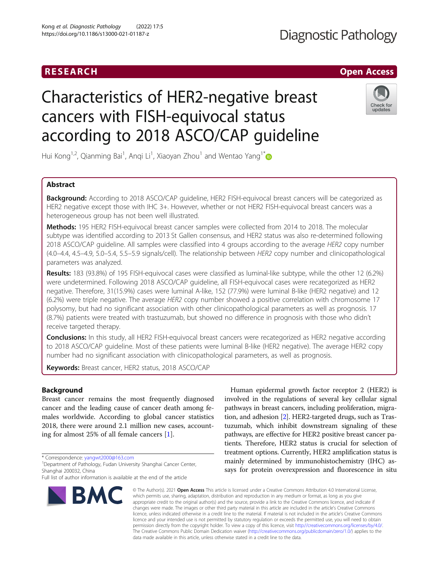# RESEARCH **RESEARCH CHANNEL CONTROL**

# **Diagnostic Pathology**

# Characteristics of HER2-negative breast cancers with FISH-equivocal status according to 2018 ASCO/CAP guideline



Hui Kong<sup>1,2</sup>, Qianming Bai<sup>1</sup>, Anqi Li<sup>1</sup>, Xiaoyan Zhou<sup>1</sup> and Wentao Yang<sup>1[\\*](http://orcid.org/0000-0001-7712-822X)</sup>

# Abstract

**Background:** According to 2018 ASCO/CAP guideline, HER2 FISH-equivocal breast cancers will be categorized as HER2 negative except those with IHC 3+. However, whether or not HER2 FISH-equivocal breast cancers was a heterogeneous group has not been well illustrated.

Methods: 195 HER2 FISH-equivocal breast cancer samples were collected from 2014 to 2018. The molecular subtype was identified according to 2013 St Gallen consensus, and HER2 status was also re-determined following 2018 ASCO/CAP guideline. All samples were classified into 4 groups according to the average HER2 copy number (4.0–4.4, 4.5–4.9, 5.0–5.4, 5.5–5.9 signals/cell). The relationship between HER2 copy number and clinicopathological parameters was analyzed.

Results: 183 (93.8%) of 195 FISH-equivocal cases were classified as luminal-like subtype, while the other 12 (6.2%) were undetermined. Following 2018 ASCO/CAP guideline, all FISH-equivocal cases were recategorized as HER2 negative. Therefore, 31(15.9%) cases were luminal A-like, 152 (77.9%) were luminal B-like (HER2 negative) and 12 (6.2%) were triple negative. The average HER2 copy number showed a positive correlation with chromosome 17 polysomy, but had no significant association with other clinicopathological parameters as well as prognosis. 17 (8.7%) patients were treated with trastuzumab, but showed no difference in prognosis with those who didn't receive targeted therapy.

Conclusions: In this study, all HER2 FISH-equivocal breast cancers were recategorized as HER2 negative according to 2018 ASCO/CAP guideline. Most of these patients were luminal B-like (HER2 negative). The average HER2 copy number had no significant association with clinicopathological parameters, as well as prognosis.

Keywords: Breast cancer, HER2 status, 2018 ASCO/CAP

# Background

Breast cancer remains the most frequently diagnosed cancer and the leading cause of cancer death among females worldwide. According to global cancer statistics 2018, there were around 2.1 million new cases, accounting for almost 25% of all female cancers [\[1](#page-6-0)].

\* Correspondence: [yangwt2000@163.com](mailto:yangwt2000@163.com) <sup>1</sup>

Full list of author information is available at the end of the article



Human epidermal growth factor receptor 2 (HER2) is involved in the regulations of several key cellular signal pathways in breast cancers, including proliferation, migration, and adhesion [[2\]](#page-6-0). HER2-targeted drugs, such as Trastuzumab, which inhibit downstream signaling of these pathways, are effective for HER2 positive breast cancer patients. Therefore, HER2 status is crucial for selection of treatment options. Currently, HER2 amplification status is mainly determined by immunohistochemistry (IHC) assays for protein overexpression and fluorescence in situ

© The Author(s), 2021 **Open Access** This article is licensed under a Creative Commons Attribution 4.0 International License, which permits use, sharing, adaptation, distribution and reproduction in any medium or format, as long as you give appropriate credit to the original author(s) and the source, provide a link to the Creative Commons licence, and indicate if changes were made. The images or other third party material in this article are included in the article's Creative Commons licence, unless indicated otherwise in a credit line to the material. If material is not included in the article's Creative Commons licence and your intended use is not permitted by statutory regulation or exceeds the permitted use, you will need to obtain permission directly from the copyright holder. To view a copy of this licence, visit [http://creativecommons.org/licenses/by/4.0/.](http://creativecommons.org/licenses/by/4.0/) The Creative Commons Public Domain Dedication waiver [\(http://creativecommons.org/publicdomain/zero/1.0/](http://creativecommons.org/publicdomain/zero/1.0/)) applies to the data made available in this article, unless otherwise stated in a credit line to the data.

Department of Pathology, Fudan University Shanghai Cancer Center, Shanghai 200032, China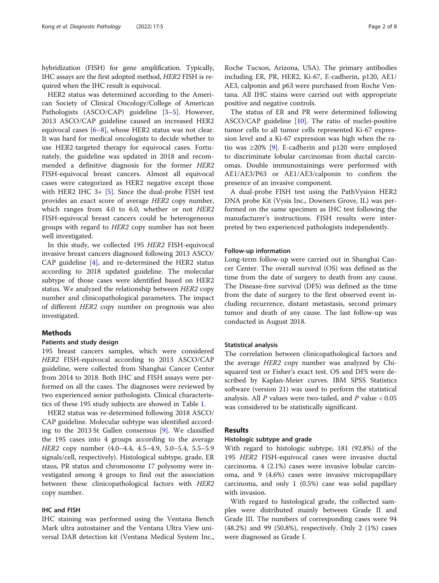hybridization (FISH) for gene amplification. Typically, IHC assays are the first adopted method, HER2 FISH is required when the IHC result is equivocal.

HER2 status was determined according to the American Society of Clinical Oncology/College of American Pathologists (ASCO/CAP) guideline [\[3](#page-6-0)-[5](#page-6-0)]. However, 2013 ASCO/CAP guideline caused an increased HER2 equivocal cases [[6](#page-6-0)–[8\]](#page-6-0), whose HER2 status was not clear. It was hard for medical oncologists to decide whether to use HER2-targeted therapy for equivocal cases. Fortunately, the guideline was updated in 2018 and recommended a definitive diagnosis for the former HER2 FISH-equivocal breast cancers. Almost all equivocal cases were categorized as HER2 negative except those with HER2 IHC  $3+$  [[5\]](#page-6-0). Since the dual-probe FISH test provides an exact score of average HER2 copy number, which ranges from 4.0 to 6.0, whether or not HER2 FISH-equivocal breast cancers could be heterogeneous groups with regard to HER2 copy number has not been well investigated.

In this study, we collected 195 HER2 FISH-equivocal invasive breast cancers diagnosed following 2013 ASCO/ CAP guideline [[4\]](#page-6-0), and re-determined the HER2 status according to 2018 updated guideline. The molecular subtype of those cases were identified based on HER2 status. We analyzed the relationship between HER2 copy number and clinicopathological parameters. The impact of different HER2 copy number on prognosis was also investigated.

# Methods

# Patients and study design

195 breast cancers samples, which were considered HER2 FISH-equivocal according to 2013 ASCO/CAP guideline, were collected from Shanghai Cancer Center from 2014 to 2018. Both IHC and FISH assays were performed on all the cases. The diagnoses were reviewed by two experienced senior pathologists. Clinical characteristics of these 195 study subjects are showed in Table [1](#page-2-0).

HER2 status was re-determined following 2018 ASCO/ CAP guideline. Molecular subtype was identified according to the 2013 St Gallen consensus [[9\]](#page-6-0). We classified the 195 cases into 4 groups according to the average HER2 copy number (4.0–4.4, 4.5–4.9, 5.0–5.4, 5.5–5.9 signals/cell, respectively). Histological subtype, grade, ER staus, PR status and chromosome 17 polysomy were investigated among 4 groups to find out the association between these clinicopathological factors with HER2 copy number.

# IHC and FISH

IHC staining was performed using the Ventana Bench Mark ultra autostainer and the Ventana Ultra View universal DAB detection kit (Ventana Medical System Inc.,

Roche Tucson, Arizona, USA). The primary antibodies including ER, PR, HER2, Ki-67, E-cadherin, p120, AE1/ AE3, calponin and p63 were purchased from Roche Ventana. All IHC stains were carried out with appropriate positive and negative controls.

The status of ER and PR were determined following ASCO/CAP guideline [[10\]](#page-6-0). The ratio of nuclei-positive tumor cells to all tumor cells represented Ki-67 expression level and a Ki-67 expression was high when the ratio was ≥20% [[9\]](#page-6-0). E-cadherin and p120 were employed to discriminate lobular carcinomas from ductal carcinomas. Double immunostainings were performed with AE1/AE3/P63 or AE1/AE3/calponin to confirm the presence of an invasive component.

A dual-probe FISH test using the PathVysion HER2 DNA probe Kit (Vysis Inc., Downers Grove, IL) was performed on the same specimen as IHC test following the manufacturer's instructions. FISH results were interpreted by two experienced pathologists independently.

# Follow-up information

Long-term follow-up were carried out in Shanghai Cancer Center. The overall survival (OS) was defined as the time from the date of surgery to death from any cause. The Disease-free survival (DFS) was defined as the time from the date of surgery to the first observed event including recurrence, distant metastasis, second primary tumor and death of any cause. The last follow-up was conducted in August 2018.

# Statistical analysis

The correlation between clinicopathological factors and the average HER2 copy number was analyzed by Chisquared test or Fisher's exact test. OS and DFS were described by Kaplan-Meier curves. IBM SPSS Statistics software (version 21) was used to perform the statistical analysis. All  $P$  values were two-tailed, and  $P$  value  $< 0.05$ was considered to be statistically significant.

# Results

# Histologic subtype and grade

With regard to histologic subtype, 181 (92.8%) of the 195 HER2 FISH-equivocal cases were invasive ductal carcinoma. 4 (2.1%) cases were invasive lobular carcinoma, and 9 (4.6%) cases were invasive micropapillary carcinoma, and only 1 (0.5%) case was solid papillary with invasion.

With regard to histological grade, the collected samples were distributed mainly between Grade II and Grade III. The numbers of corresponding cases were 94 (48.2%) and 99 (50.8%), respectively. Only 2 (1%) cases were diagnosed as Grade I.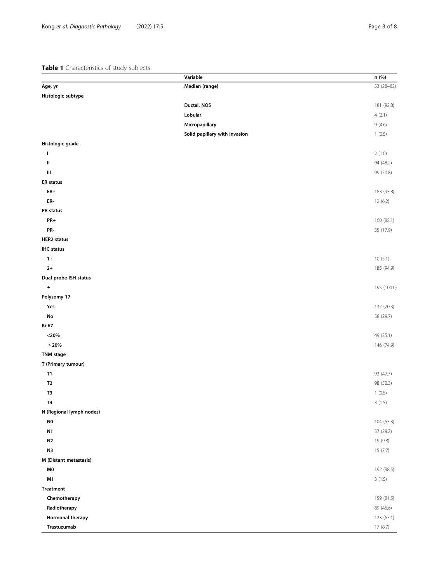# <span id="page-2-0"></span>Table 1 Characteristics of study subjects

|                          | Variable                      | n (%)       |
|--------------------------|-------------------------------|-------------|
| Age, yr                  | Median (range)                | 53 (28-82)  |
| Histologic subtype       |                               |             |
|                          | Ductal, NOS                   | 181 (92.8)  |
|                          | Lobular                       | 4(2.1)      |
|                          | Micropapillary                | 9(4.6)      |
|                          | Solid papillary with invasion | 1(0.5)      |
| Histologic grade         |                               |             |
| T                        |                               | 2(1.0)      |
| Ш                        |                               | 94 (48.2)   |
| Ш                        |                               | 99 (50.8)   |
| <b>ER</b> status         |                               |             |
| $ER+$                    |                               | 183 (93.8)  |
| ER-                      |                               | 12(6.2)     |
| PR status                |                               |             |
| PR+                      |                               | 160 (82.1)  |
| PR-                      |                               | 35 (17.9)   |
| <b>HER2</b> status       |                               |             |
| <b>IHC</b> status        |                               |             |
| $1+$                     |                               | 10(5.1)     |
| $2+$                     |                               | 185 (94.9)  |
| Dual-probe ISH status    |                               |             |
| ±                        |                               | 195 (100.0) |
| Polysomy 17              |                               |             |
| Yes                      |                               | 137 (70.3)  |
| No                       |                               | 58 (29.7)   |
| Ki-67                    |                               |             |
| $<$ 20%                  |                               | 49 (25.1)   |
| $\geq 20\%$              |                               | 146 (74.9)  |
| TNM stage                |                               |             |
| T (Primary tumour)       |                               |             |
| T1                       |                               | 93 (47.7)   |
| T <sub>2</sub>           |                               | 98 (50.3)   |
| T3                       |                               | 1(0.5)      |
| <b>T4</b>                |                               | 3(1.5)      |
| N (Regional lymph nodes) |                               |             |
| N0                       |                               | 104 (53.3)  |
| N1                       |                               | 57 (29.2)   |
| N <sub>2</sub>           |                               | 19 (9.8)    |
| N3                       |                               | 15(7.7)     |
| M (Distant metastasis)   |                               |             |
| M0                       |                               | 192 (98.5)  |
| M1                       |                               | 3(1.5)      |
| <b>Treatment</b>         |                               |             |
| Chemotherapy             |                               | 159 (81.5)  |
| Radiotherapy             |                               | 89 (45.6)   |
| Hormonal therapy         |                               | 123 (63.1)  |
| Trastuzumab              |                               | 17(8.7)     |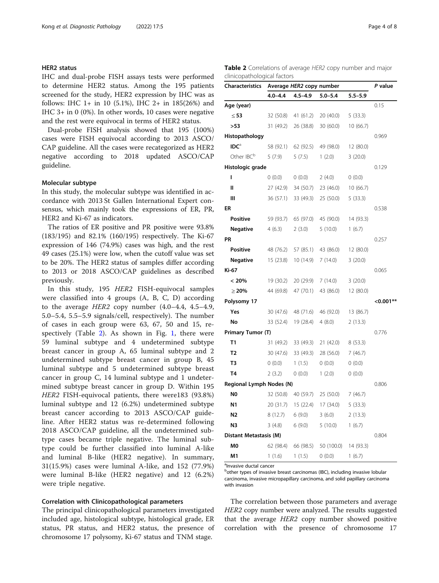# HER2 status

IHC and dual-probe FISH assays tests were performed to determine HER2 status. Among the 195 patients screened for the study, HER2 expression by IHC was as follows: IHC 1+ in 10 (5.1%), IHC 2+ in 185(26%) and IHC 3+ in 0 (0%). In other words, 10 cases were negative and the rest were equivocal in terms of HER2 status.

Dual-probe FISH analysis showed that 195 (100%) cases were FISH equivocal according to 2013 ASCO/ CAP guideline. All the cases were recategorized as HER2 negative according to 2018 updated ASCO/CAP guideline.

# Molecular subtype

In this study, the molecular subtype was identified in accordance with 2013 St Gallen International Expert consensus, which mainly took the expressions of ER, PR, HER2 and Ki-67 as indicators.

The ratios of ER positive and PR positive were 93.8% (183/195) and 82.1% (160/195) respectively. The Ki-67 expression of 146 (74.9%) cases was high, and the rest 49 cases (25.1%) were low, when the cutoff value was set to be 20%. The HER2 status of samples differ according to 2013 or 2018 ASCO/CAP guidelines as described previously.

In this study, 195 HER2 FISH-equivocal samples were classified into 4 groups (A, B, C, D) according to the average HER2 copy number (4.0–4.4, 4.5–4.9, 5.0–5.4, 5.5–5.9 signals/cell, respectively). The number of cases in each group were 63, 67, 50 and 15, respectively (Table 2). As shown in Fig. [1,](#page-4-0) there were 59 luminal subtype and 4 undetermined subtype breast cancer in group A, 65 luminal subtype and 2 undetermined subtype breast cancer in group B, 45 luminal subtype and 5 undetermined subtype breast cancer in group C, 14 luminal subtype and 1 undetermined subtype breast cancer in group D. Within 195 HER2 FISH-equivocal patients, there were183 (93.8%) luminal subtype and 12 (6.2%) undetermined subtype breast cancer according to 2013 ASCO/CAP guideline. After HER2 status was re-determined following 2018 ASCO/CAP guideline, all the undetermined subtype cases became triple negative. The luminal subtype could be further classified into luminal A-like and luminal B-like (HER2 negative). In summary, 31(15.9%) cases were luminal A-like, and 152 (77.9%) were luminal B-like (HER2 negative) and 12 (6.2%) were triple negative.

# Correlation with Clinicopathological parameters

The principal clinicopathological parameters investigated included age, histological subtype, histological grade, ER status, PR status, and HER2 status, the presence of chromosome 17 polysomy, Ki-67 status and TNM stage.

| <b>Table 2</b> Correlations of average HER2 copy number and major |  |  |  |
|-------------------------------------------------------------------|--|--|--|
| clinicopathological factors                                       |  |  |  |

| <b>Characteristics</b>   | Average HER2 copy number |             |             |             | P value     |
|--------------------------|--------------------------|-------------|-------------|-------------|-------------|
|                          | $4.0 - 4.4$              | $4.5 - 4.9$ | $5.0 - 5.4$ | $5.5 - 5.9$ |             |
| Age (year)               |                          |             |             |             | 0.15        |
| $\leq$ 53                | 32 (50.8)                | 41 (61.2)   | 20 (40.0)   | 5(33.3)     |             |
| >53                      | 31 (49.2)                | 26 (38.8)   | 30 (60.0)   | 10 (66.7)   |             |
| Histopathology           |                          |             |             |             | 0.969       |
| IDC <sup>a</sup>         | 58 (92.1)                | 62 (92.5)   | 49 (98.0)   | 12 (80.0)   |             |
| Other IBC <sup>b</sup>   | 5(7.9)                   | 5(7.5)      | 1(2.0)      | 3(20.0)     |             |
| Histologic grade         |                          |             |             |             | 0.129       |
| I                        | 0(0.0)                   | 0(0.0)      | 2(4.0)      | 0(0.0)      |             |
| $\mathbf{I}$             | 27 (42.9)                | 34 (50.7)   | 23 (46.0)   | 10 (66.7)   |             |
| Ш                        | 36 (57.1)                | 33 (49.3)   | 25 (50.0)   | 5(33.3)     |             |
| ER                       |                          |             |             |             | 0.538       |
| <b>Positive</b>          | 59 (93.7)                | 65 (97.0)   | 45 (90.0)   | 14 (93.3)   |             |
| <b>Negative</b>          | 4(6.3)                   | 2(3.0)      | 5(10.0)     | 1(6.7)      |             |
| PR                       |                          |             |             |             | 0.257       |
| Positive                 | 48 (76.2)                | 57 (85.1)   | 43 (86.0)   | 12 (80.0)   |             |
| <b>Negative</b>          | 15 (23.8)                | 10(14.9)    | 7(14.0)     | 3(20.0)     |             |
| Ki-67                    |                          |             |             |             | 0.065       |
| < 20%                    | 19 (30.2)                | 20 (29.9)   | 7(14.0)     | 3(20.0)     |             |
| $\geq$ 20%               | 44 (69.8)                | 47(70.1)    | 43 (86.0)   | 12 (80.0)   |             |
| Polysomy 17              |                          |             |             |             | $< 0.001**$ |
| Yes                      | 30 (47.6)                | 48 (71.6)   | 46 (92.0)   | 13 (86.7)   |             |
| No                       | 33 (52.4)                | 19 (28.4)   | 4(8.0)      | 2(13.3)     |             |
| Primary Tumor (T)        |                          |             |             |             | 0.776       |
| T1                       | 31 (49.2)                | 33 (49.3)   | 21(42.0)    | 8(53.3)     |             |
| T2                       | 30 (47.6)                | 33 (49.3)   | 28 (56.0)   | 7(46.7)     |             |
| T3                       | (0.0)                    | 1(1.5)      | (0.0)       | 0(0.0)      |             |
| T <sub>4</sub>           | 2(3.2)                   | (0.0)       | 1(2.0)      | 0(0.0)      |             |
| Regional Lymph Nodes (N) |                          |             |             |             | 0.806       |
| N <sub>0</sub>           | 32 (50.8)                | 40 (59.7)   | 25(50.0)    | 7(46.7)     |             |
| N1                       | 20 (31.7)                | 15(22.4)    | 17 (34.0)   | 5(33.3)     |             |
| N <sub>2</sub>           | 8(12.7)                  | 6(9.0)      | 3(6.0)      | 2(13.3)     |             |
| N <sub>3</sub>           | 3(4.8)                   | 6(9.0)      | 5(10.0)     | 1(6.7)      |             |
| Distant Metastasis (M)   |                          |             |             |             | 0.804       |
| M0                       | 62 (98.4)                | 66 (98.5)   | 50 (100.0)  | 14 (93.3)   |             |
| M1                       | 1(1.6)                   | 1(1.5)      | 0(0.0)      | 1(6.7)      |             |

alnvasive ductal cancer

bother types of invasive breast carcinomas (IBC), including invasive lobular carcinoma, invasive micropapillary carcinoma, and solid papillary carcinoma with invasion

The correlation between those parameters and average HER2 copy number were analyzed. The results suggested that the average HER2 copy number showed positive correlation with the presence of chromosome 17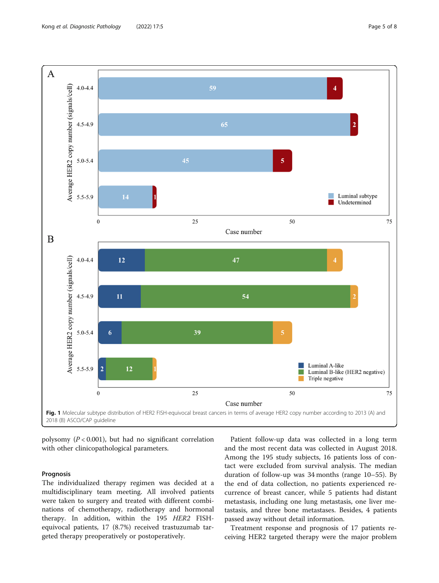<span id="page-4-0"></span>

Case number

Fig. 1 Molecular subtype distribution of HER2 FISH-equivocal breast cancers in terms of average HER2 copy number according to 2013 (A) and 2018 (B) ASCO/CAP guideline

polysomy  $(P < 0.001)$ , but had no significant correlation with other clinicopathological parameters.

# Prognosis

The individualized therapy regimen was decided at a multidisciplinary team meeting. All involved patients were taken to surgery and treated with different combinations of chemotherapy, radiotherapy and hormonal therapy. In addition, within the 195 HER2 FISHequivocal patients, 17 (8.7%) received trastuzumab targeted therapy preoperatively or postoperatively.

Patient follow-up data was collected in a long term and the most recent data was collected in August 2018. Among the 195 study subjects, 16 patients loss of contact were excluded from survival analysis. The median duration of follow-up was 34 months (range 10–55). By the end of data collection, no patients experienced recurrence of breast cancer, while 5 patients had distant metastasis, including one lung metastasis, one liver metastasis, and three bone metastases. Besides, 4 patients passed away without detail information.

Treatment response and prognosis of 17 patients receiving HER2 targeted therapy were the major problem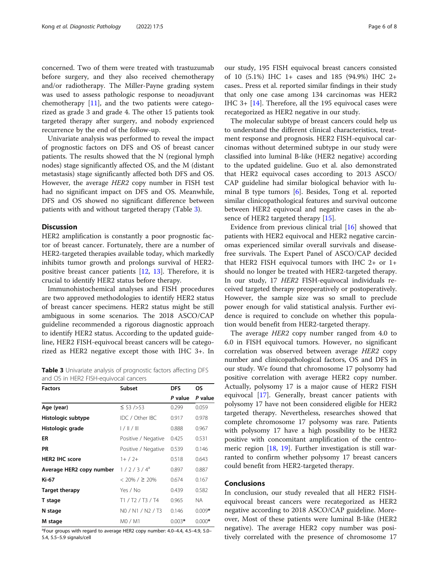concerned. Two of them were treated with trastuzumab before surgery, and they also received chemotherapy and/or radiotherapy. The Miller-Payne grading system was used to assess pathologic response to neoadjuvant chemotherapy [[11](#page-6-0)], and the two patients were categorized as grade 3 and grade 4. The other 15 patients took targeted therapy after surgery, and nobody exprienced recurrence by the end of the follow-up.

Univariate analysis was performed to reveal the impact of prognostic factors on DFS and OS of breast cancer patients. The results showed that the N (regional lymph nodes) stage significantly affected OS, and the M (distant metastasis) stage significantly affected both DFS and OS. However, the average HER2 copy number in FISH test had no significant impact on DFS and OS. Meanwhile, DFS and OS showed no significant difference between patients with and without targeted therapy (Table 3).

# **Discussion**

HER2 amplification is constantly a poor prognostic factor of breast cancer. Fortunately, there are a number of HER2-targeted therapies available today, which markedly inhibits tumor growth and prolongs survival of HER2 positive breast cancer patients [[12](#page-6-0), [13\]](#page-6-0). Therefore, it is crucial to identify HER2 status before therapy.

Immunohistochemical analyses and FISH procedures are two approved methodologies to identify HER2 status of breast cancer specimens. HER2 status might be still ambiguous in some scenarios. The 2018 ASCO/CAP guideline recommended a rigorous diagnostic approach to identify HER2 status. According to the updated guideline, HER2 FISH-equivocal breast cancers will be categorized as HER2 negative except those with IHC 3+. In

Table 3 Univariate analysis of prognostic factors affecting DFS and OS in HER2 FISH-equivocal cancers

| <b>Factors</b>           | <b>Subset</b>       | <b>DFS</b> | OS.      |
|--------------------------|---------------------|------------|----------|
|                          |                     | P value    | P value  |
| Age (year)               | ≤ 53 />53           | 0.299      | 0.059    |
| Histologic subtype       | IDC / Other IBC     | 0.917      | 0.978    |
| Histologic grade         | $1/$ $  $ $/$ $  $  | 0.888      | 0.967    |
| ER                       | Positive / Negative | 0.425      | 0.531    |
| <b>PR</b>                | Positive / Negative | 0.539      | 0.146    |
| <b>HER2 IHC score</b>    | $1+ / 2+$           | 0.518      | 0.643    |
| Average HER2 copy number | $1/2/3/4^{a}$       | 0.897      | 0.887    |
| Ki-67                    | $< 20\% / \ge 20\%$ | 0.674      | 0.167    |
| <b>Target therapy</b>    | Yes / No            | 0.439      | 0.582    |
| T stage                  | T1 / T2 / T3 / T4   | 0.965      | NA       |
| N stage                  | NO / N1 / N2 / T3   | 0.146      | $0.009*$ |
| M stage                  | M0 / M1             | $0.003*$   | $0.000*$ |

<sup>a</sup>Four groups with regard to average HER2 copy number: 4.0–4.4, 4.5–4.9, 5.0– 5.4, 5.5–5.9 signals/cell

our study, 195 FISH equivocal breast cancers consisted of 10 (5.1%) IHC 1+ cases and 185 (94.9%) IHC 2+ cases.. Press et al. reported similar findings in their study that only one case among 134 carcinomas was HER2 IHC 3+ [[14](#page-6-0)]. Therefore, all the 195 equivocal cases were recategorized as HER2 negative in our study.

The molecular subtype of breast cancers could help us to understand the different clinical characteristics, treatment response and prognosis. HER2 FISH-equivocal carcinomas without determined subtype in our study were classified into luminal B-like (HER2 negative) according to the updated guideline. Guo et al. also demonstrated that HER2 equivocal cases according to 2013 ASCO/ CAP guideline had similar biological behavior with luminal B type tumors [[6\]](#page-6-0). Besides, Tong et al. reported similar clinicopathological features and survival outcome between HER2 equivocal and negative cases in the ab-sence of HER2 targeted therapy [[15\]](#page-6-0).

Evidence from previous clinical trial [\[16\]](#page-6-0) showed that patients with HER2 equivocal and HER2 negative carcinomas experienced similar overall survivals and diseasefree survivals. The Expert Panel of ASCO/CAP decided that HER2 FISH equivocal tumors with IHC 2+ or 1+ should no longer be treated with HER2-targeted therapy. In our study, 17 HER2 FISH-equivocal individuals received targeted therapy preoperatively or postoperatively. However, the sample size was so small to preclude power enough for valid statistical analysis. Further evidence is required to conclude on whether this population would benefit from HER2-targeted therapy.

The average HER2 copy number ranged from 4.0 to 6.0 in FISH equivocal tumors. However, no significant correlation was observed between average HER2 copy number and clinicopathological factors, OS and DFS in our study. We found that chromosome 17 polysomy had positive correlation with average HER2 copy number. Actually, polysomy 17 is a major cause of HER2 FISH equivocal [\[17\]](#page-7-0). Generally, breast cancer patients with polysomy 17 have not been considered eligible for HER2 targeted therapy. Nevertheless, researches showed that complete chromosome 17 polysomy was rare. Patients with polysomy 17 have a high possibility to be HER2 positive with concomitant amplification of the centromeric region [\[18,](#page-7-0) [19](#page-7-0)]. Further investigation is still warranted to confirm whether polysomy 17 breast cancers could benefit from HER2-targeted therapy.

# Conclusions

In conclusion, our study revealed that all HER2 FISHequivocal breast cancers were recategorized as HER2 negative according to 2018 ASCO/CAP guideline. Moreover, Most of these patients were luminal B-like (HER2 negative). The average HER2 copy number was positively correlated with the presence of chromosome 17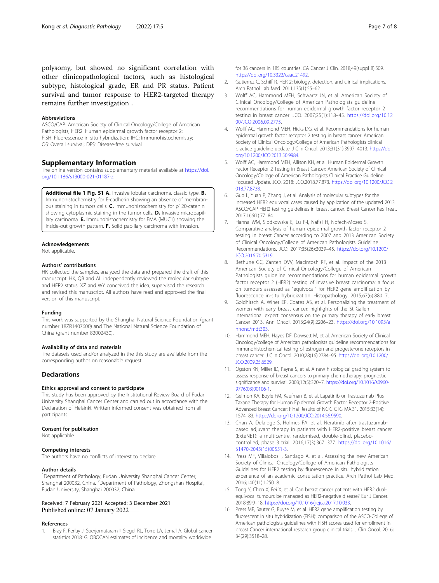<span id="page-6-0"></span>polysomy, but showed no significant correlation with other clinicopathological factors, such as histological subtype, histological grade, ER and PR status. Patient survival and tumor response to HER2-targeted therapy remains further investigation .

#### Abbreviations

ASCO/CAP: American Society of Clinical Oncology/College of American Pathologists; HER2: Human epidermal growth factor receptor 2; FISH: Fluorescence in situ hybridization; IHC: Immunohistochemistry; OS: Overall survival; DFS: Disease-free survival

# Supplementary Information

The online version contains supplementary material available at [https://doi.](https://doi.org/10.1186/s13000-021-01187-z) [org/10.1186/s13000-021-01187-z.](https://doi.org/10.1186/s13000-021-01187-z)

Additional file 1 Fig. S1 A. Invasive lobular carcinoma, classic type. B. Immunohistochemistry for E-cadherin showing an absence of membranous staining in tumors cells. C. Immunohistochemistry for p120-catenin showing cytoplasmic staining in the tumor cells. D. Invasive micropapillary carcinoma. E. Immunohistochemistry for EMA (MUC1) showing the inside-out growth pattern. F. Solid papillary carcinoma with invasion.

# Acknowledgements

Not applicable.

#### Authors' contributions

HK collected the samples, analyzed the data and prepared the draft of this manuscript. HK, QB and AL independently reviewed the molecular subtype and HER2 status. XZ and WY conceived the idea, supervised the research and revised this manuscript. All authors have read and approved the final version of this manuscript.

# Funding

This work was supported by the Shanghai Natural Science Foundation (grant number 18ZR1407600) and The National Natural Science Foundation of China (grant number 82002430).

#### Availability of data and materials

The datasets used and/or analyzed in the this study are available from the corresponding author on reasonable request.

# **Declarations**

# Ethics approval and consent to participate

This study has been approved by the Institutional Review Board of Fudan University Shanghai Cancer Center and carried out in accordance with the Declaration of Helsinki. Written informed consent was obtained from all participants.

### Consent for publication

Not applicable.

#### Competing interests

The authors have no conflicts of interest to declare.

# Author details

<sup>1</sup>Department of Pathology, Fudan University Shanghai Cancer Center, Shanghai 200032, China. <sup>2</sup>Department of Pathology, Zhongshan Hospital, Fudan University, Shanghai 200032, China.

# Received: 7 February 2021 Accepted: 3 December 2021 Published online: 07 January 2022

# References

1. Bray F, Ferlay J, Soerjomataram I, Siegel RL, Torre LA, Jemal A. Global cancer statistics 2018: GLOBOCAN estimates of incidence and mortality worldwide

for 36 cancers in 185 countries. CA Cancer J Clin. 2018;49(suppl 8):509. [https://doi.org/10.3322/caac.21492.](https://doi.org/10.3322/caac.21492)

- 2. Gutierrez C, Schiff R. HER 2: biology, detection, and clinical implications. Arch Pathol Lab Med. 2011;135(1):55–62.
- 3. Wolff AC, Hammond MEH, Schwartz JN, et al. American Society of Clinical Oncology/College of American Pathologists guideline recommendations for human epidermal growth factor receptor 2 testing in breast cancer. JCO. 2007;25(1):118–45. [https://doi.org/10.12](https://doi.org/10.1200/JCO.2006.09.2775) [00/JCO.2006.09.2775](https://doi.org/10.1200/JCO.2006.09.2775).
- 4. Wolff AC, Hammond MEH, Hicks DG, et al. Recommendations for human epidermal growth factor receptor 2 testing in breast cancer: American Society of Clinical Oncology/College of American Pathologists clinical practice guideline update. J Clin Oncol. 2013;31(31):3997–4013. [https://doi.](https://doi.org/10.1200/JCO.2013.50.9984) [org/10.1200/JCO.2013.50.9984.](https://doi.org/10.1200/JCO.2013.50.9984)
- 5. Wolff AC, Hammond MEH, Allison KH, et al. Human Epidermal Growth Factor Receptor 2 Testing in Breast Cancer: American Society of Clinical Oncology/College of American Pathologists Clinical Practice Guideline Focused Update. JCO. 2018: JCO.2018.77.873. [https://doi.org/10.1200/JCO.2](https://doi.org/10.1200/JCO.2018.77.8738) [018.77.8738.](https://doi.org/10.1200/JCO.2018.77.8738)
- 6. Guo L, Yuan P, Zhang J, et al. Analysis of molecular subtypes for the increased HER2 equivocal cases caused by application of the updated 2013 ASCO/CAP HER2 testing guidelines in breast cancer. Breast Cancer Res Treat. 2017;166(1):77–84.
- 7. Hanna WM, Slodkowska E, Lu F-I, Nafisi H, Nofech-Mozes S. Comparative analysis of human epidermal growth factor receptor 2 testing in breast Cancer according to 2007 and 2013 American Society of Clinical Oncology/College of American Pathologists Guideline Recommendations. JCO. 2017;35(26):3039–45. [https://doi.org/10.1200/](https://doi.org/10.1200/JCO.2016.70.5319) [JCO.2016.70.5319](https://doi.org/10.1200/JCO.2016.70.5319).
- 8. Bethune GC, Zanten DVV, MacIntosh RF, et al. Impact of the 2013 American Society of Clinical Oncology/College of American Pathologists guideline recommendations for human epidermal growth factor receptor 2 (HER2) testing of invasive breast carcinoma: a focus on tumours assessed as "equivocal" for HER2 gene amplification by fluorescence in-situ hybridization. Histopathology. 2015;67(6):880–7.
- 9. Goldhirsch A, Winer EP, Coates AS, et al. Personalizing the treatment of women with early breast cancer: highlights of the St Gallen international expert consensus on the primary therapy of early breast Cancer 2013. Ann Oncol. 2013;24(9):2206–23. [https://doi.org/10.1093/a](https://doi.org/10.1093/annonc/mdt303) [nnonc/mdt303.](https://doi.org/10.1093/annonc/mdt303)
- 10. Hammond MEH, Hayes DF, Dowsett M, et al. American Society of Clinical Oncology/college of American pathologists guideline recommendations for immunohistochemical testing of estrogen and progesterone receptors in breast cancer. J Clin Oncol. 2010;28(16):2784–95. [https://doi.org/10.1200/](https://doi.org/10.1200/JCO.2009.25.6529) [JCO.2009.25.6529.](https://doi.org/10.1200/JCO.2009.25.6529)
- 11. Ogston KN, Miller ID, Payne S, et al. A new histological grading system to assess response of breast cancers to primary chemotherapy: prognostic significance and survival. 2003;12(5):320–7. [https://doi.org/10.1016/s0960-](https://doi.org/10.1016/s0960-9776(03)00106-1) [9776\(03\)00106-1](https://doi.org/10.1016/s0960-9776(03)00106-1).
- 12. Gelmon KA, Boyle FM, Kaufman B, et al. Lapatinib or Trastuzumab Plus Taxane Therapy for Human Epidermal Growth Factor Receptor 2-Positive Advanced Breast Cancer: Final Results of NCIC CTG MA.31. 2015;33(14): 1574–83. <https://doi.org/10.1200/JCO.2014.56.9590>.
- 13. Chan A, Delaloge S, Holmes FA, et al. Neratinib after trastuzumabbased adjuvant therapy in patients with HER2-positive breast cancer (ExteNET): a multicentre, randomised, double-blind, placebocontrolled, phase 3 trial. 2016;17(3):367–377. [https://doi.org/10.1016/](https://doi.org/10.1016/S1470-2045(15)00551-3) [S1470-2045\(15\)00551-3](https://doi.org/10.1016/S1470-2045(15)00551-3).
- 14. Press MF, Villalobos I, Santiago A, et al. Assessing the new American Society of Clinical Oncology/College of American Pathologists Guidelines for HER2 testing by fluorescence in situ hybridization: experience of an academic consultation practice. Arch Pathol Lab Med. 2016;140(11):1250–8.
- 15. Tong Y, Chen X, Fei X, et al. Can breast cancer patients with HER2 dualequivocal tumours be managed as HER2-negative disease? Eur J Cancer. 2018;89:9–18. <https://doi.org/10.1016/j.ejca.2017.10.033>.
- 16. Press MF, Sauter G, Buyse M, et al. HER2 gene amplification testing by fluorescent in situ hybridization (FISH): comparison of the ASCO-College of American pathologists guidelines with FISH scores used for enrollment in breast Cancer international research group clinical trials. J Clin Oncol. 2016; 34(29):3518–28.